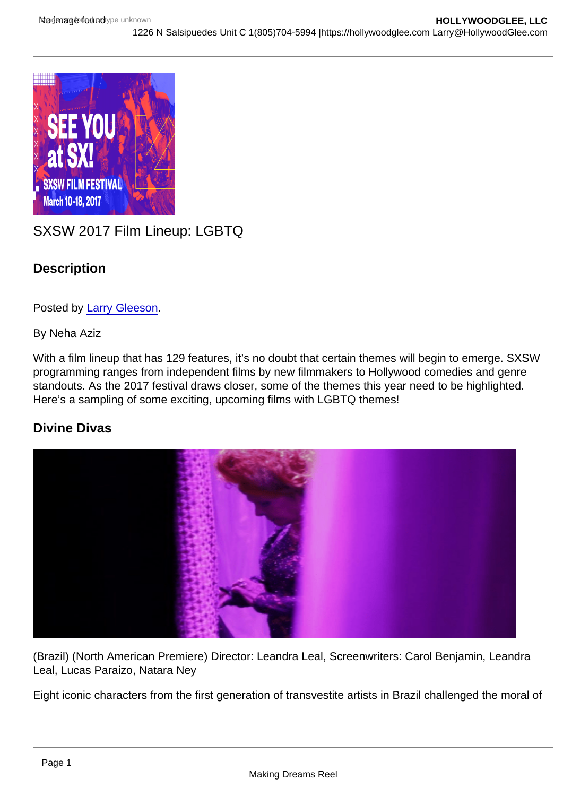# SXSW 2017 Film Lineup: LGBTQ

**Description** 

Posted by [Larry Gleeson](http://sbccfilmreviews.org/?s=Larry+Gleeson).

By Neha Aziz

With a film lineup that has 129 features, it's no doubt that certain themes will begin to emerge. SXSW programming ranges from independent films by new filmmakers to Hollywood comedies and genre standouts. As the 2017 festival draws closer, some of the themes this year need to be highlighted. Here's a sampling of some exciting, upcoming films with LGBTQ themes!

Divine Divas

(Brazil) (North American Premiere) Director: Leandra Leal, Screenwriters: Carol Benjamin, Leandra Leal, Lucas Paraizo, Natara Ney

Eight iconic characters from the first generation of transvestite artists in Brazil challenged the moral of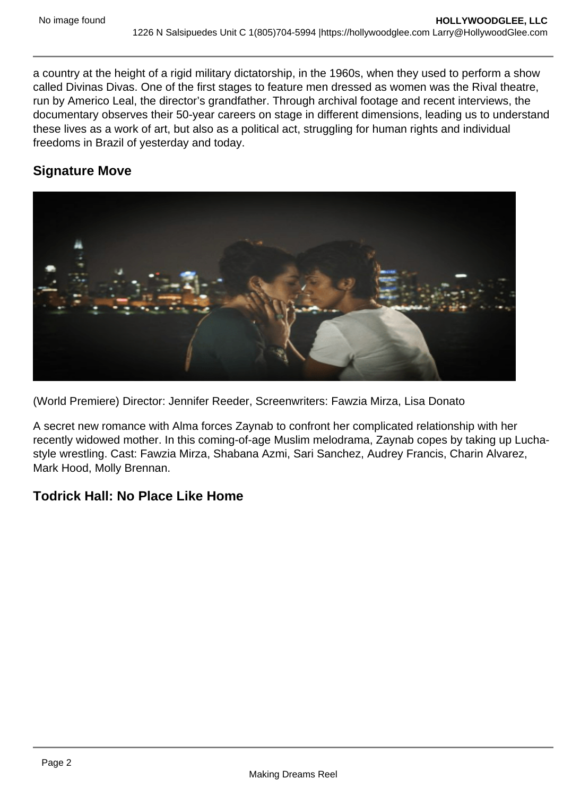a country at the height of a rigid military dictatorship, in the 1960s, when they used to perform a show called Divinas Divas. One of the first stages to feature men dressed as women was the Rival theatre, run by Americo Leal, the director's grandfather. Through archival footage and recent interviews, the documentary observes their 50-year careers on stage in different dimensions, leading us to understand these lives as a work of art, but also as a political act, struggling for human rights and individual freedoms in Brazil of yesterday and today.

## **Signature Move**



(World Premiere) Director: Jennifer Reeder, Screenwriters: Fawzia Mirza, Lisa Donato

A secret new romance with Alma forces Zaynab to confront her complicated relationship with her recently widowed mother. In this coming-of-age Muslim melodrama, Zaynab copes by taking up Luchastyle wrestling. Cast: Fawzia Mirza, Shabana Azmi, Sari Sanchez, Audrey Francis, Charin Alvarez, Mark Hood, Molly Brennan.

### **Todrick Hall: No Place Like Home**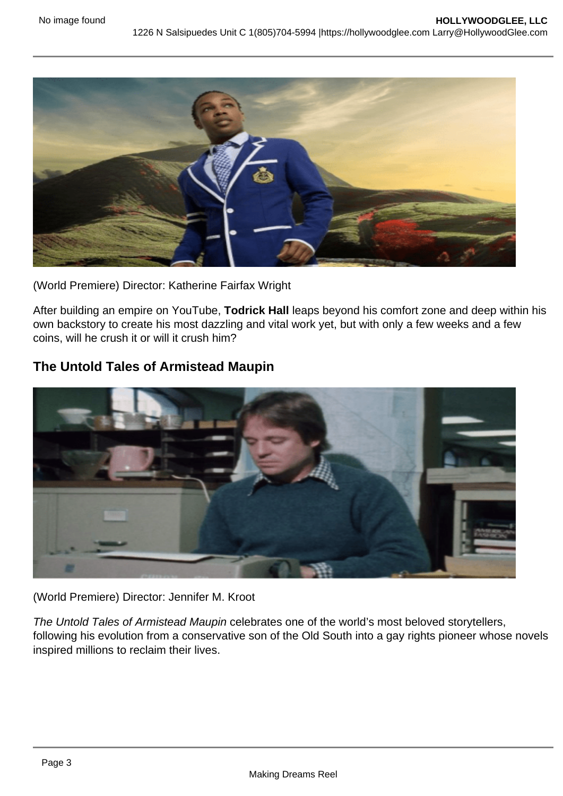

(World Premiere) Director: Katherine Fairfax Wright

After building an empire on YouTube, **Todrick Hall** leaps beyond his comfort zone and deep within his own backstory to create his most dazzling and vital work yet, but with only a few weeks and a few coins, will he crush it or will it crush him?

### **The Untold Tales of Armistead Maupin**



#### (World Premiere) Director: Jennifer M. Kroot

The Untold Tales of Armistead Maupin celebrates one of the world's most beloved storytellers, following his evolution from a conservative son of the Old South into a gay rights pioneer whose novels inspired millions to reclaim their lives.